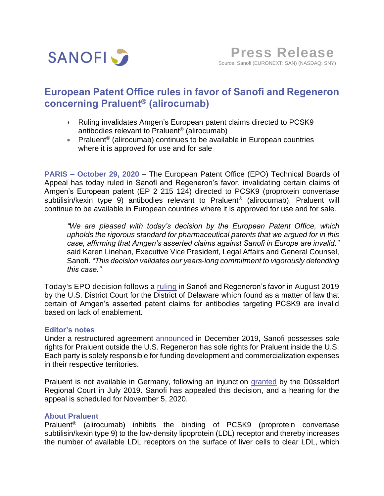

# **European Patent Office rules in favor of Sanofi and Regeneron concerning Praluent® (alirocumab)**

- Ruling invalidates Amgen's European patent claims directed to PCSK9 antibodies relevant to Praluent® (alirocumab)
- Praluent® (alirocumab) continues to be available in European countries where it is approved for use and for sale

**PARIS – October 29, 2020** – The European Patent Office (EPO) Technical Boards of Appeal has today ruled in Sanofi and Regeneron's favor, invalidating certain claims of Amgen's European patent (EP 2 215 124) directed to PCSK9 (proprotein convertase subtilisin/kexin type 9) antibodies relevant to Praluent<sup>®</sup> (alirocumab). Praluent will continue to be available in European countries where it is approved for use and for sale.

*"We are pleased with today's decision by the European Patent Office, which upholds the rigorous standard for pharmaceutical patents that we argued for in this case, affirming that Amgen's asserted claims against Sanofi in Europe are invalid,"*  said Karen Linehan, Executive Vice President, Legal Affairs and General Counsel, Sanofi. *"This decision validates our years-long commitment to vigorously defending this case."* 

Today's EPO decision follows a [ruling](https://www.sanofi.com/en/media-room/press-releases/2019/2019-08-28-22-35-00) in Sanofi and Regeneron's favor in August 2019 by the U.S. District Court for the District of Delaware which found as a matter of law that certain of Amgen's asserted patent claims for antibodies targeting PCSK9 are invalid based on lack of enablement.

### **Editor's notes**

Under a restructured agreement [announced](https://www.sanofi.com/en/media-room/press-releases/2019/2019-12-10-14-30-00) in December 2019, Sanofi possesses sole rights for Praluent outside the U.S. Regeneron has sole rights for Praluent inside the U.S. Each party is solely responsible for funding development and commercialization expenses in their respective territories.

Praluent is not available in Germany, following an injunction [granted](https://www.sanofi.com/en/media-room/press-statements/statement-regarding-dusseldorf-regional-court-decision-in-ongoing-praluent-alirocumab-patent-litigation-in-germany) by the Düsseldorf Regional Court in July 2019. Sanofi has appealed this decision, and a hearing for the appeal is scheduled for November 5, 2020.

### **About Praluent**

Praluent® (alirocumab) inhibits the binding of PCSK9 (proprotein convertase subtilisin/kexin type 9) to the low-density lipoprotein (LDL) receptor and thereby increases the number of available LDL receptors on the surface of liver cells to clear LDL, which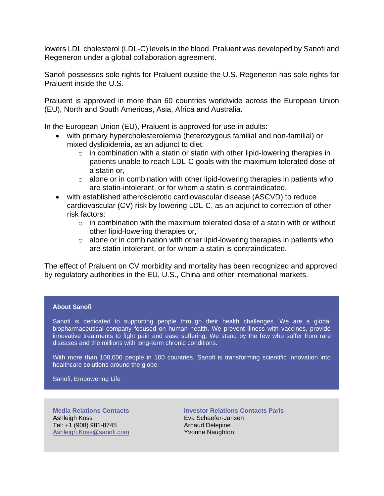lowers LDL cholesterol (LDL-C) levels in the blood. Praluent was developed by Sanofi and Regeneron under a global collaboration agreement.

Sanofi possesses sole rights for Praluent outside the U.S. Regeneron has sole rights for Praluent inside the U.S.

Praluent is approved in more than 60 countries worldwide across the European Union (EU), North and South Americas, Asia, Africa and Australia.

In the European Union (EU), Praluent is approved for use in adults:

- with primary hypercholesterolemia (heterozygous familial and non-familial) or mixed dyslipidemia, as an adjunct to diet:
	- $\circ$  in combination with a statin or statin with other lipid-lowering therapies in patients unable to reach LDL-C goals with the maximum tolerated dose of a statin or,
	- $\circ$  alone or in combination with other lipid-lowering therapies in patients who are statin-intolerant, or for whom a statin is contraindicated.
- with established atherosclerotic cardiovascular disease (ASCVD) to reduce cardiovascular (CV) risk by lowering LDL-C, as an adjunct to correction of other risk factors:
	- $\circ$  in combination with the maximum tolerated dose of a statin with or without other lipid-lowering therapies or,
	- $\circ$  alone or in combination with other lipid-lowering therapies in patients who are statin-intolerant, or for whom a statin is contraindicated.

The effect of Praluent on CV morbidity and mortality has been recognized and approved by regulatory authorities in the EU, U.S., China and other international markets.

#### **About Sanofi**

Sanofi is dedicated to supporting people through their health challenges. We are a global biopharmaceutical company focused on human health. We prevent illness with vaccines, provide innovative treatments to fight pain and ease suffering. We stand by the few who suffer from rare diseases and the millions with long-term chronic conditions.

With more than 100,000 people in 100 countries, Sanofi is transforming scientific innovation into healthcare solutions around the globe.

Sanofi, Empowering Life

**Media Relations Contacts** Ashleigh Koss Tel: +1 (908) 981-8745 [Ashleigh.Koss@sanofi.com](mailto:Ashleigh.Koss@sanofi.com)

**Investor Relations Contacts Paris** Eva Schaefer-Jansen Arnaud Delepine Yvonne Naughton